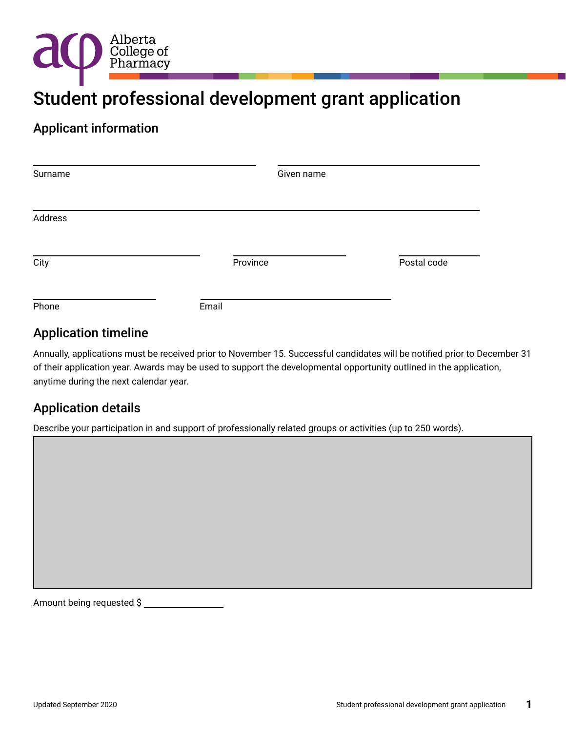

# Student professional development grant application

### Applicant information

| Surname | Given name |             |  |  |
|---------|------------|-------------|--|--|
|         |            |             |  |  |
| Address |            |             |  |  |
| City    | Province   | Postal code |  |  |
| Phone   | Email      |             |  |  |

# Application timeline

Annually, applications must be received prior to November 15. Successful candidates will be notified prior to December 31 of their application year. Awards may be used to support the developmental opportunity outlined in the application, anytime during the next calendar year.

# Application details

Describe your participation in and support of professionally related groups or activities (up to 250 words).

Amount being requested \$